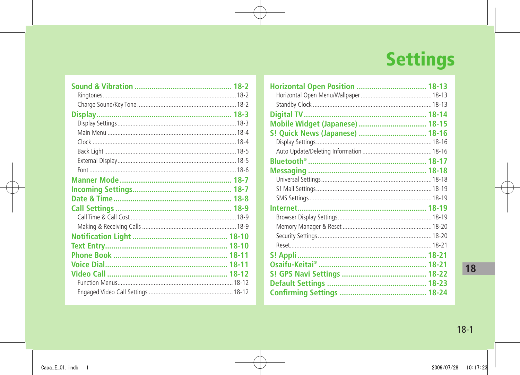# **Settings**

| Horizontal Open Position  18-13 |  |
|---------------------------------|--|
|                                 |  |
|                                 |  |
|                                 |  |
| Mobile Widget (Japanese)  18-15 |  |
| S! Quick News (Japanese)  18-16 |  |
|                                 |  |
|                                 |  |
|                                 |  |
|                                 |  |
|                                 |  |
|                                 |  |
|                                 |  |
|                                 |  |
|                                 |  |
|                                 |  |
|                                 |  |
|                                 |  |
|                                 |  |
|                                 |  |
|                                 |  |
|                                 |  |
|                                 |  |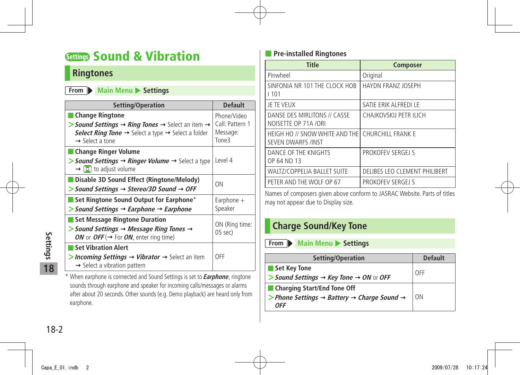## <span id="page-1-0"></span>**Settings Sound & Vibration**

### **Ringtones**

#### **From Main Menu** Settings

| Setting/Operation                                                                                                                                                                            | <b>Default</b>                             |
|----------------------------------------------------------------------------------------------------------------------------------------------------------------------------------------------|--------------------------------------------|
| <b>Change Ringtone</b><br>> Sound Settings $\rightarrow$ Ring Tones $\rightarrow$ Select an item $\rightarrow$<br>Select Ring Tone $\rightarrow$ Select a type $\rightarrow$ Select a folder | Phone/Video<br>Call: Pattern 1<br>Message: |
| $\rightarrow$ Select a tone                                                                                                                                                                  | Tone3                                      |
| ■ Change Ringer Volume<br>$\triangleright$ Sound Settings $\rightarrow$ Ringer Volume $\rightarrow$ Select a type<br>$\rightarrow$ [0] to adjust volume                                      | Level 4                                    |
| Disable 3D Sound Effect (Ringtone/Melody)<br>$>$ Sound Settings $\rightarrow$ Stereo/3D Sound $\rightarrow$ OFF                                                                              | ON                                         |
| Set Ringtone Sound Output for Earphone*<br>$\triangleright$ Sound Settings $\rightarrow$ Earphone $\rightarrow$ Earphone                                                                     | Earphone $+$<br>Speaker                    |
| Set Message Ringtone Duration<br>$>$ Sound Settings $\rightarrow$ Message Ring Tones $\rightarrow$<br>ON or OFF ( $\rightarrow$ For ON, enter ring time)                                     | ON (Ring time:<br>$05$ sec $)$             |
| <b>Set Vibration Alert</b><br>> Incoming Settings $\rightarrow$ Vibrator $\rightarrow$ Select an item<br>$\rightarrow$ Select a vibration pattern                                            | OFF                                        |

\* When earphone is connected and Sound Settings is set to **Earphone**, ringtone sounds through earphone and speaker for incoming calls/messages or alarms after about 20 seconds. Other sounds (e.g. Demo playback) are heard only from earphone.

#### ■ **Pre-installed Ringtones**

| <b>Title</b>                                                                  | <b>Composer</b>               |
|-------------------------------------------------------------------------------|-------------------------------|
| Pinwheel                                                                      | Original                      |
| SINFONIA NR 101 THE CLOCK HOB<br>1101                                         | <b>HAYDN FRANZ JOSEPH</b>     |
| JE TE VEUX                                                                    | SATIE ERIK ALFREDI LE         |
| DANSE DES MIRLITONS // CASSE<br>NOISETTE OP 71A /ORI                          | CHAJKOVSKIJ PETR ILICH        |
| HEIGH HO // SNOW WHITE AND THE CHURCHILL FRANK E<br><b>SEVEN DWARFS /INST</b> |                               |
| DANCE OF THE KNIGHTS<br>OP 64 NO 13                                           | PROKOFFV SERGELS              |
| <b>WALTZ/COPPELIA BALLET SUITE</b>                                            | DELIBES LEO CLEMENT PHILIBERT |
| PETER AND THE WOLF OP 67                                                      | PROKOFEV SERGEJ S             |

Names of composers given above conform to JASRAC Website. Parts of titles may not appear due to Display size.

### **Charge Sound/Key Tone**

**From Main Menu** Settings

| Setting/Operation                                                               | <b>Default</b> |
|---------------------------------------------------------------------------------|----------------|
| Set Key Tone                                                                    | OFF            |
| > Sound Settings $\rightarrow$ Key Tone $\rightarrow$ ON or OFF                 |                |
| ■ Charging Start/End Tone Off                                                   |                |
| > Phone Settings $\rightarrow$ Battery $\rightarrow$ Charge Sound $\rightarrow$ | I ON           |
| <b>OFF</b>                                                                      |                |

18-2 **Settings 18**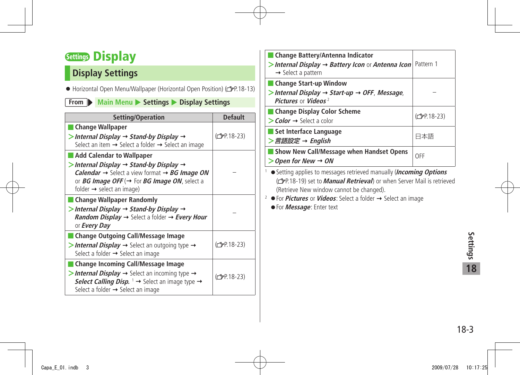## <span id="page-2-0"></span>**Settings Display**

### **Display Settings**

● Horizontal Open Menu/Wallpaper (Horizontal Open Position) ( P.18-13)

#### **From Main Menu** > Settings > Display Settings

| Setting/Operation                                                                                                                                                                                                                                                                                                 | <b>Default</b>           |
|-------------------------------------------------------------------------------------------------------------------------------------------------------------------------------------------------------------------------------------------------------------------------------------------------------------------|--------------------------|
| <b>Change Wallpaper</b><br>$>$ Internal Display $\rightarrow$ Stand-by Display $\rightarrow$<br>Select an item $\rightarrow$ Select a folder $\rightarrow$ Select an image                                                                                                                                        | $(\mathcal{C}$ P.18-23)  |
| <b>Add Calendar to Wallpaper</b><br>$>$ Internal Display $\rightarrow$ Stand-by Display $\rightarrow$<br><b>Calendar</b> $\rightarrow$ Select a view format $\rightarrow$ <b>BG Image ON</b><br>or <i>BG Image OFF</i> ( $\rightarrow$ For <i>BG Image ON</i> , select a<br>folder $\rightarrow$ select an image) |                          |
| <b>Change Wallpaper Randomly</b><br>> Internal Display → Stand-by Display →<br><b>Random Display <math>\rightarrow</math></b> Select a folder $\rightarrow$ Every Hour<br>or <b>Every Day</b>                                                                                                                     |                          |
| <b>Change Outgoing Call/Message Image</b><br>> Internal Display $\rightarrow$ Select an outgoing type $\rightarrow$<br>Select a folder → Select an image                                                                                                                                                          | (C <sub>T</sub> P.18-23) |
| <b>Change Incoming Call/Message Image</b><br>> Internal Display $\rightarrow$ Select an incoming type $\rightarrow$<br>Select Calling Disp. $1 \rightarrow$ Select an image type $\rightarrow$<br>Select a folder $\rightarrow$ Select an image                                                                   | (C <sub>J</sub> P.18-23) |

| Change Battery/Antenna Indicator<br>>Internal Display $\rightarrow$ Battery Icon or Antenna Icon Pattern 1<br>$\rightarrow$ Select a pattern |                          |
|----------------------------------------------------------------------------------------------------------------------------------------------|--------------------------|
| Change Start-up Window<br>> Internal Display $\rightarrow$ Start-up $\rightarrow$ OFF, Message,<br>Pictures or Videos <sup>2</sup>           |                          |
| <b>Change Display Color Scheme</b><br>$\gt$ Color $\rightarrow$ Select a color                                                               | (C <sub>J</sub> P.18-23) |
| ■ Set Interface Language<br>>言語設定 → English                                                                                                  | 日本語                      |
| Show New Call/Message when Handset Opens<br>Open for New $\rightarrow$ ON                                                                    | OFF                      |

<sup>1</sup> ● Setting applies to messages retrieved manually (**Incoming Options**  (**P**P.18-19) set to *Manual Retrieval*) or when Server Mail is retrieved (Retrieve New window cannot be changed).

- $2 \cdot \bullet$  For **Pictures** or **Videos**: Select a folder  $\rightarrow$  Select an image
	- For **Message**: Enter text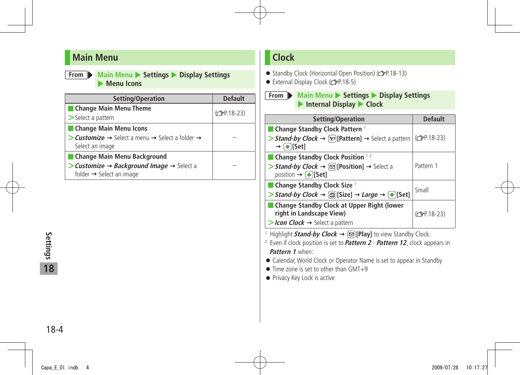### <span id="page-3-0"></span>**Main Menu**

**From Main Menu**  $\triangleright$  **Settings**  $\triangleright$  **Display Settings Menu Icons** 

| Setting/Operation                                                                                         | <b>Default</b>          |
|-----------------------------------------------------------------------------------------------------------|-------------------------|
| <b>Change Main Menu Theme</b>                                                                             | $(\mathcal{C}$ P.18-23) |
| $\geq$ Select a pattern                                                                                   |                         |
| <b>Change Main Menu Icons</b>                                                                             |                         |
| • <b>Customize</b> → Select a menu → Select a folder →<br>Select an image                                 |                         |
| Change Main Menu Background                                                                               |                         |
| > Customize $\rightarrow$ Background Image $\rightarrow$ Select a<br>folder $\rightarrow$ Select an image |                         |

### **Clock**

- Standby Clock (Horizontal Open Position) (c 子P.18-13)
- External Display Clock (cr P.18-5)

**From Main Menu**  $\triangleright$  **Settings**  $\triangleright$  **Display Settings** ▶ Internal Display ▶ Clock

| Setting/Operation                                                                                                | <b>Default</b>               |
|------------------------------------------------------------------------------------------------------------------|------------------------------|
| ■ Change Standby Clock Pattern 1                                                                                 |                              |
| > Stand-by Clock $\rightarrow \infty$ [Pattern] $\rightarrow$ Select a pattern<br>$\rightarrow$ [o][Set]         | $ $ (c <sup>2</sup> P.18-23) |
| ■ Change Standby Clock Position $12$                                                                             |                              |
| > Stand-by Clock $\rightarrow \infty$ [Position] $\rightarrow$ Select a<br>position $\rightarrow$ <b>O</b> [Set] | Pattern 1                    |
| $\blacksquare$ Change Standby Clock Size $\lceil$                                                                | Small                        |
| > Stand-by Clock → $\circledcirc$ [Size] → Large → $\circledcirc$ [Set]                                          |                              |
| <b>Change Standby Clock at Upper Right (lower</b><br>right in Landscape View)                                    | $(\mathcal{F}P.18-23)$       |
| > Icon Clock $\rightarrow$ Select a pattern                                                                      |                              |

<sup>1</sup> Highlight **Stand-by Clock → (**⊠)[Play] to view Standby Clock.

2 Even if clock position is set to **Pattern 2** - **Pattern 12**, clock appears in **Pattern 1** when:

● Calendar, World Clock or Operator Name is set to appear in Standby

- Time zone is set to other than GMT+9
- Privacy Key Lock is active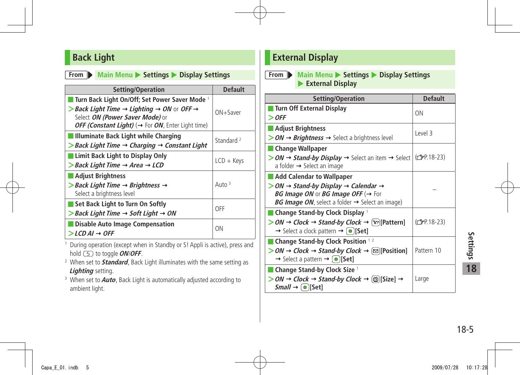### <span id="page-4-0"></span>**Back Light**

#### **From Main Menu** > Settings > Display Settings

| Setting/Operation                                                                                                                                                                                                                     | <b>Default</b>        |
|---------------------------------------------------------------------------------------------------------------------------------------------------------------------------------------------------------------------------------------|-----------------------|
| Turn Back Light On/Off; Set Power Saver Mode 1<br>> Back Light Time $\rightarrow$ Lighting $\rightarrow$ ON or OFF $\rightarrow$<br>Select ON (Power Saver Mode) or<br>OFF (Constant Light) ( $\rightarrow$ For ON, Enter Light time) | $ON +$ Saver          |
| Illuminate Back Light while Charging<br>$\triangleright$ Back Light Time $\rightarrow$ Charging $\rightarrow$ Constant Light                                                                                                          | Standard <sup>2</sup> |
| Limit Back Light to Display Only<br>$>$ Back Light Time $\rightarrow$ Area $\rightarrow$ LCD                                                                                                                                          | $LCD + Keys$          |
| Adjust Brightness<br>$>$ Back Light Time $\rightarrow$ Brightness $\rightarrow$<br>Select a brightness level                                                                                                                          | Auto $3$              |
| Set Back Light to Turn On Softly<br>$>$ Back Light Time $\rightarrow$ Soft Light $\rightarrow$ ON                                                                                                                                     | OFF                   |
| Disable Auto Image Compensation<br>$>LCD$ AI $\rightarrow$ OFF                                                                                                                                                                        | ON                    |

- 1 During operation (except when in Standby or S! Appli is active), press and hold to toggle **ON**/**OFF**.
- 2 When set to **Standard**, Back Light illuminates with the same setting as **Lighting** setting.
- 3 When set to **Auto**, Back Light is automatically adjusted according to ambient light.

### **External Display**

#### **From Main Menu** > Settings > Display Settings X **External Display**

| Setting/Operation                                                                                                                                                                                             | <b>Default</b> |
|---------------------------------------------------------------------------------------------------------------------------------------------------------------------------------------------------------------|----------------|
| Turn Off External Display<br>$>$ OFF                                                                                                                                                                          | ΩN             |
| ■ Adjust Brightness                                                                                                                                                                                           |                |
| $>$ ON $\rightarrow$ Brightness $\rightarrow$ Select a brightness level                                                                                                                                       | Level 3        |
| ■ Change Wallpaper                                                                                                                                                                                            |                |
| > ON → Stand-by Display → Select an item → Select $ $ ( $\mathbb{Z}P.18-23$ )<br>a folder $\rightarrow$ Select an image                                                                                       |                |
| Add Calendar to Wallpaper                                                                                                                                                                                     |                |
| $>$ ON $\rightarrow$ Stand-by Display $\rightarrow$ Calendar $\rightarrow$<br><b>BG Image ON or BG Image OFF (<math>\rightarrow</math> For</b><br>BG Image ON, select a folder $\rightarrow$ Select an image) |                |
| $\blacksquare$ Change Stand-by Clock Display $^1$                                                                                                                                                             |                |
| $>$ ON $\rightarrow$ Clock $\rightarrow$ Stand-by Clock $\rightarrow$ [x] [Pattern]<br>$\rightarrow$ Select a clock pattern $\rightarrow$ ( $\bullet$ )[Set]                                                  | (仁子P.18-23)    |
| ■ Change Stand-by Clock Position $12$                                                                                                                                                                         |                |
| > ON → Clock → Stand-by Clock → $\lbrack \infty \rbrack$ [Position]<br>$\rightarrow$ Select a pattern $\rightarrow$ [ $\bullet$ ][Set]                                                                        | Pattern 10     |
| $\blacksquare$ Change Stand-by Clock Size $\perp$                                                                                                                                                             |                |
| $>$ ON $\rightarrow$ Clock $\rightarrow$ Stand-by Clock $\rightarrow$ [ $\circledcirc$ ][Size] $\rightarrow$<br>$Small \rightarrow (\bullet)$ [Set]                                                           | Large          |

18-5**Settings 18**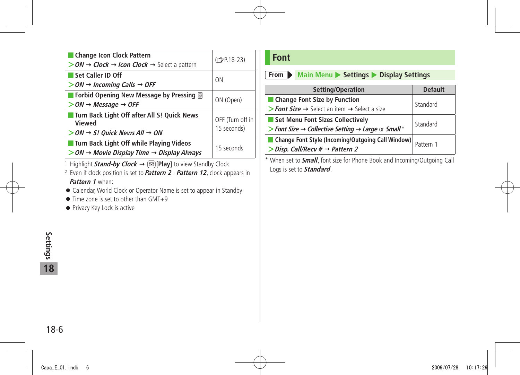<span id="page-5-0"></span>

| Change Icon Clock Pattern<br>$>$ ON $\rightarrow$ Clock $\rightarrow$ Icon Clock $\rightarrow$ Select a pattern         | (C <sub>J</sub> P.18-23)        |
|-------------------------------------------------------------------------------------------------------------------------|---------------------------------|
| Set Caller ID Off<br>$>$ ON $\rightarrow$ Incoming Calls $\rightarrow$ OFF                                              | ON                              |
| ■ Forbid Opening New Message by Pressing <sup>■</sup><br>$>$ ON $\rightarrow$ Message $\rightarrow$ OFF                 | ON (Open)                       |
| Turn Back Light Off after All S! Quick News<br>Viewed<br>$>$ ON $\rightarrow$ S! Quick News All $\rightarrow$ ON        | OFF (Turn off in<br>15 seconds) |
| <b>Turn Back Light Off while Playing Videos</b><br>$>$ ON $\rightarrow$ Movie Display Time $\rightarrow$ Display Always | 15 seconds                      |
| 1. Highlight Chand by Clark & BIDoulto visu Chandley Clark                                                              |                                 |

1 Highlight **Stand-by Clock [Play]** to view Standby Clock.

- 2 Even if clock position is set to **Pattern 2 Pattern 12**, clock appears in **Pattern 1** when:
- Calendar, World Clock or Operator Name is set to appear in Standby
- $\bullet$  Time zone is set to other than GMT+9
- Privacy Key Lock is active

### **Font**

#### **From Main Menu** > Settings > Display Settings

| Setting/Operation                                                           | <b>Default</b> |
|-----------------------------------------------------------------------------|----------------|
| ■ Change Font Size by Function                                              | Standard       |
| > Font Size $\rightarrow$ Select an item $\rightarrow$ Select a size        |                |
| Set Menu Font Sizes Collectively                                            | Standard       |
| > Font Size $\rightarrow$ Collective Setting $\rightarrow$ Large or Small * |                |
| Change Font Style (Incoming/Outgoing Call Window)                           | Pattern 1      |
| $\triangleright$ Disp. Call/Recv # $\rightarrow$ Pattern 2                  |                |

\* When set to **Small**, font size for Phone Book and Incoming/Outgoing Call Logs is set to **Standard**.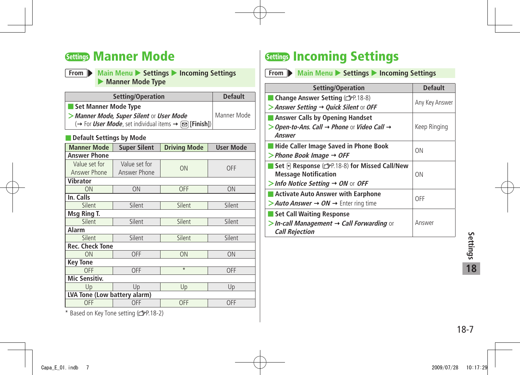## <span id="page-6-0"></span>**Settings Manner Mode**

**From Main Menu**  $\triangleright$  **Settings**  $\triangleright$  **Incoming Settings Manner Mode Type** 

| Setting/Operation                                                                                 | <b>Default</b> |
|---------------------------------------------------------------------------------------------------|----------------|
| Set Manner Mode Type                                                                              |                |
| Manner Mode, Super Silent or User Mode                                                            | Manner Mode    |
| $\rightarrow$ For <i>User Mode</i> , set individual items $\rightarrow \boxed{\otimes}$ [Finish]) |                |

#### ■ **Default Settings by Mode**

| <b>Manner Mode</b>           | <b>Super Silent</b> | <b>Driving Mode</b> | <b>User Mode</b> |
|------------------------------|---------------------|---------------------|------------------|
| Answer Phone                 |                     |                     |                  |
| Value set for                | Value set for       | ON                  | <b>OFF</b>       |
| Answer Phone                 | Answer Phone        |                     |                  |
| <b>Vibrator</b>              |                     |                     |                  |
| ON                           | <b>ON</b>           | OFF                 | ON               |
| In. Calls                    |                     |                     |                  |
| Silent                       | Silent              | Silent              | Silent           |
| Msg Ring T.                  |                     |                     |                  |
| Silent                       | Silent              | Silent              | Silent           |
| <b>Alarm</b>                 |                     |                     |                  |
| Silent                       | Silent              | Silent              | Silent           |
| <b>Rec. Check Tone</b>       |                     |                     |                  |
| ON                           | OFF                 | <b>ON</b>           | ON               |
| <b>Key Tone</b>              |                     |                     |                  |
| <b>OFF</b>                   | OFF                 | $\overline{\ast}$   | OFF              |
| <b>Mic Sensitiv.</b>         |                     |                     |                  |
| Up                           | Up                  | Up                  | Up               |
| LVA Tone (Low battery alarm) |                     |                     |                  |
| OFF                          | OFF                 | <b>OFF</b>          | OFF              |

\* Based on Key Tone setting (CPP.18-2)

## **Settings Incoming Settings**

**From Main Menu > Settings > Incoming Settings** 

| Setting/Operation                                                                                                                   | <b>Default</b> |
|-------------------------------------------------------------------------------------------------------------------------------------|----------------|
| Change Answer Setting (CFP.18-8)<br>> Answer Setting > Quick Silent or OFF                                                          | Any Key Answer |
| <b>Answer Calls by Opening Handset</b><br>Open-to-Ans. Call $\rightarrow$ Phone or Video Call $\rightarrow$<br>Answer               | Keep Ringing   |
| Hide Caller Image Saved in Phone Book<br>$>$ Phone Book Image $\rightarrow$ OFF                                                     | ΩN             |
| Set <b>F</b> Response (全P.18-8) for Missed Call/New<br><b>Message Notification</b><br>> Info Notice Setting $\rightarrow$ ON or OFF | ON             |
| <b>Activate Auto Answer with Earphone</b><br>> Auto Answer $\rightarrow$ ON $\rightarrow$ Enter ring time                           | OFF            |
| Set Call Waiting Response<br>$>$ In-call Management $\rightarrow$ Call Forwarding or<br><b>Call Rejection</b>                       | Answer         |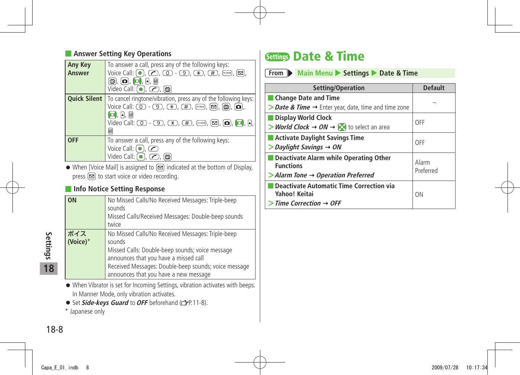#### <span id="page-7-0"></span>■ **Answer Setting Key Operations**

| <b>Any Key</b><br><b>Answer</b> | To answer a call, press any of the following keys:<br>Voice Call: $\left( \bullet \right)$ , $\left( \bullet \right)$ , $\left( \circ \right)$ - $\left( \circ \right)$ , $\left( \circ \right)$ , $\left( \circ \right)$ , $\left( \circ \right)$ , $\left( \circ \circ \right)$ , $\left( \circ \circ \right)$                                                                                                                                                                                                                                                                                                                         |
|---------------------------------|------------------------------------------------------------------------------------------------------------------------------------------------------------------------------------------------------------------------------------------------------------------------------------------------------------------------------------------------------------------------------------------------------------------------------------------------------------------------------------------------------------------------------------------------------------------------------------------------------------------------------------------|
|                                 | <u>g, o, o, r, b</u><br>$\overline{\mathsf{Video}}$ Call: $\left(\bullet\right)$ , $\left(\bullet\right)$ , $\left(\bullet\right)$                                                                                                                                                                                                                                                                                                                                                                                                                                                                                                       |
|                                 | <b>Quick Silent</b>   To cancel ringtone/vibration, press any of the following keys:<br>Voice Call: $\circled{0}$ - $\circled{9}$ , $\circled{*}$ , $\circled{H}$ , $\circled{m}$ , $\circled{9}$ , $\circled{6}$ , $\circled{6}$ , $\circled{6}$ ,<br>$\Box$ , a, b<br>Video Call: $\circled{1}$ - $\circled{9}$ , $\circled{*}$ , $\circled{1}$ , $\circled{1}$ , $\circled{2}$ , $\circled{2}$ , $\circled{1}$ , $\circled{1}$ , $\circled{1}$ , $\circled{1}$ , $\circled{1}$ , $\circled{1}$ , $\circled{1}$ , $\circled{1}$ , $\circled{1}$ , $\circled{1}$ , $\circled{1}$ , $\circled{1}$ , $\circled{1}$ , $\circled{1}$ ,<br>ø |
| <b>OFF</b>                      | To answer a call, press any of the following keys:<br>Voice Call: $\bigcirc$ , $\bigcirc$<br>Video Call: $\left( \bullet \right)$ , $\left( \bullet \right)$ ,<br>「凾                                                                                                                                                                                                                                                                                                                                                                                                                                                                     |

 $\bullet$  When [Voice Mail] is assigned to  $\circledR$  indicated at the bottom of Display, press  $\circled{=}$  to start voice or video recording.

#### **Info Notice Setting Response**

| <b>ON</b>       | No Missed Calls/No Received Messages: Triple-beep<br>sounds<br>Missed Calls/Received Messages: Double-beep sounds<br>twice                                                                                                                               |
|-----------------|----------------------------------------------------------------------------------------------------------------------------------------------------------------------------------------------------------------------------------------------------------|
| ボイス<br>(Voice)* | No Missed Calls/No Received Messages: Triple-beep<br>sounds<br>Missed Calls: Double-beep sounds; voice message<br>announces that you have a missed call<br>Received Messages: Double-beep sounds; voice message<br>announces that you have a new message |

- When Vibrator is set for Incoming Settings, vibration activates with beeps. In Manner Mode, only vibration activates.
- **•** Set *Side-keys Guard* to OFF beforehand ( $\mathbb{C}$  P.11-8).
- \* Japanese only

## **Settings Date & Time**

| From Main Menu Settings Date & Time                                                                            |                    |  |
|----------------------------------------------------------------------------------------------------------------|--------------------|--|
| Setting/Operation                                                                                              | <b>Default</b>     |  |
| <b>Change Date and Time</b>                                                                                    |                    |  |
| > Date & Time → Enter year, date, time and time zone                                                           |                    |  |
| Display World Clock<br>> World Clock $\rightarrow$ ON $\rightarrow$ [O] to select an area                      | OFF                |  |
| Activate Daylight Savings Time<br>$>$ Daylight Savings $\rightarrow$ ON                                        | OFF                |  |
| Deactivate Alarm while Operating Other<br><b>Functions</b><br>$>$ Alarm Tone $\rightarrow$ Operation Preferred | Alarm<br>Preferred |  |
| <b>Deactivate Automatic Time Correction via</b><br>Yahoo! Keitai<br>$>$ Time Correction $\rightarrow$ OFF      | ON                 |  |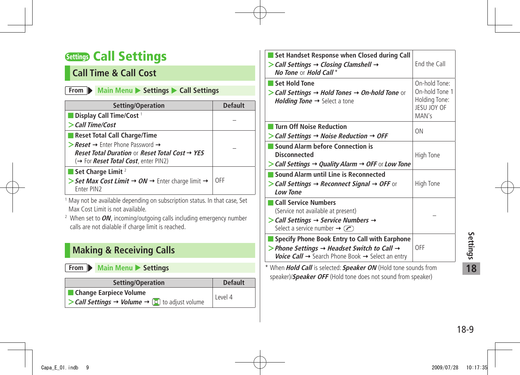## <span id="page-8-0"></span>**Settings Call Settings**

### **Call Time & Call Cost**

#### **From Main Menu** > Settings > Call Settings

| Setting/Operation                                                                  | <b>Default</b> |
|------------------------------------------------------------------------------------|----------------|
| Display Call Time/Cost <sup>1</sup>                                                |                |
| $>$ Call Time/Cost                                                                 |                |
| Reset Total Call Charge/Time                                                       |                |
| $\triangleright$ <b>Reset</b> $\rightarrow$ Enter Phone Password $\rightarrow$     |                |
| Reset Total Duration or Reset Total Cost $\rightarrow$ YES                         |                |
| (→ For <i>Reset Total Cost</i> , enter PIN2)                                       |                |
| Set Charge Limit $^2$                                                              |                |
| Set Max Cost Limit $\rightarrow$ ON $\rightarrow$ Enter charge limit $\rightarrow$ | OFF            |
| Fnter PIN <sub>2</sub>                                                             |                |

<sup>1</sup> May not be available depending on subscription status. In that case, Set Max Cost Limit is not available.

2 When set to **ON**, incoming/outgoing calls including emergency number calls are not dialable if charge limit is reached.

### **Making & Receiving Calls**

**From Main Menu** Settings

| Setting/Operation                                                                      | <b>Default</b> |
|----------------------------------------------------------------------------------------|----------------|
| <b>Change Earpiece Volume</b>                                                          | Level 4        |
| $\triangleright$ Call Settings $\rightarrow$ Volume $\rightarrow$ [0] to adjust volume |                |

| Set Handset Response when Closed during Call                                                                                                                                                               |                                                                          |
|------------------------------------------------------------------------------------------------------------------------------------------------------------------------------------------------------------|--------------------------------------------------------------------------|
| $\triangleright$ Call Settings $\rightarrow$ Closing Clamshell $\rightarrow$<br>No Tone or Hold Call*                                                                                                      | End the Call                                                             |
| Set Hold Tone<br>> Call Settings $\rightarrow$ Hold Tones $\rightarrow$ On-hold Tone or<br><i>Holding Tone</i> $\rightarrow$ Select a tone                                                                 | On-hold Tone:<br>On-hold Tone 1<br>Holding Tone:<br>JESU JOY OF<br>MAN's |
| <b>Turn Off Noise Reduction</b><br>$\triangleright$ Call Settings $\rightarrow$ Noise Reduction $\rightarrow$ OFF                                                                                          | ΩN                                                                       |
| <b>Sound Alarm before Connection is</b><br>Disconnected<br>$>$ Call Settings $\rightarrow$ Quality Alarm $\rightarrow$ OFF or Low Tone                                                                     | High Tone                                                                |
| Sound Alarm until Line is Reconnected<br>> Call Settings → Reconnect Signal → OFF or<br><b>Low Tone</b>                                                                                                    | High Tone                                                                |
| <b>Call Service Numbers</b><br>(Service not available at present)<br>$\triangleright$ Call Settings $\rightarrow$ Service Numbers $\rightarrow$<br>Select a service number $\rightarrow$ ( $\rightarrow$ ) |                                                                          |
| Specify Phone Book Entry to Call with Earphone<br>> Phone Settings $\rightarrow$ Headset Switch to Call $\rightarrow$<br>Voice Call → Search Phone Book → Select an entry                                  | OFF                                                                      |
| * When Hold Call is selected: Speaker ON (Hold tone sounds from                                                                                                                                            |                                                                          |

speaker)/**Speaker OFF** (Hold tone does not sound from speaker)

18-9**Settings 18**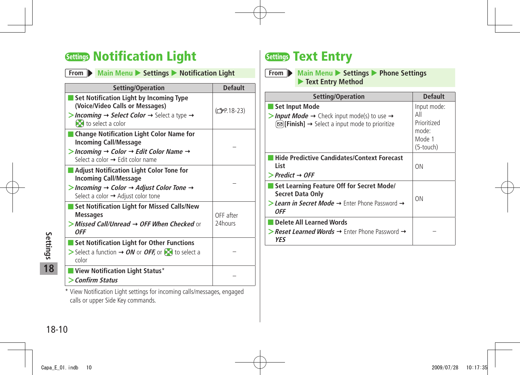## <span id="page-9-0"></span>**Settings Notification Light**

| <b>Notification Light</b> |
|---------------------------|
|                           |

| Setting/Operation                                                                                                                                                                                                                                                                     | <b>Default</b>           |
|---------------------------------------------------------------------------------------------------------------------------------------------------------------------------------------------------------------------------------------------------------------------------------------|--------------------------|
| Set Notification Light by Incoming Type<br>(Voice/Video Calls or Messages)<br>> Incoming $\rightarrow$ Select Color $\rightarrow$ Select a type $\rightarrow$<br><b>O</b> to select a color                                                                                           | (C <sub>J</sub> P.18-23) |
| <b>Change Notification Light Color Name for</b><br><b>Incoming Call/Message</b><br>$>$ Incoming $\rightarrow$ Color $\rightarrow$ Edit Color Name $\rightarrow$<br>Select a color $\rightarrow$ Edit color name                                                                       |                          |
| <b>Adjust Notification Light Color Tone for</b><br><b>Incoming Call/Message</b><br>$>$ Incoming $\rightarrow$ Color $\rightarrow$ Adjust Color Tone $\rightarrow$<br>Select a color → Adjust color tone                                                                               |                          |
| Set Notification Light for Missed Calls/New<br><b>Messages</b><br>>Missed Call/Unread → OFF When Checked or<br><b>OFF</b>                                                                                                                                                             | OFF after<br>24hours     |
| <b>Set Notification Light for Other Functions</b><br>Select a function $\rightarrow$ ON or OFF, or $\odot$ to select a<br>color                                                                                                                                                       |                          |
| View Notification Light Status*<br>> Confirm Status<br>where the set of the set of the set of the set of the set of the set of the set of the set of the set of the set of the set of the set of the set of the set of the set of the set of the set of the set of the set of the set |                          |

\* View Notification Light settings for incoming calls/messages, engaged calls or upper Side Key commands.

## **Settings Text Entry**

**From Main Menu** X **Settings** X **Phone Settings**  X **Text Entry Method**

| Setting/Operation                                                                                                                                            | <b>Default</b>                                                    |
|--------------------------------------------------------------------------------------------------------------------------------------------------------------|-------------------------------------------------------------------|
| Set Input Mode<br>> Input Mode $\rightarrow$ Check input mode(s) to use $\rightarrow$<br>$\text{S}$ [Finish] $\rightarrow$ Select a input mode to prioritize | Input mode:<br>Αll<br>Prioritized<br>mode:<br>Mode 1<br>(5-touch) |
| Hide Predictive Candidates/Context Forecast<br>List<br>$\triangleright$ Predict $\rightarrow$ OFF                                                            | ON                                                                |
| Set Learning Feature Off for Secret Mode/<br><b>Secret Data Only</b><br>> Learn in Secret Mode $\rightarrow$ Enter Phone Password $\rightarrow$<br>0FF       | ΟN                                                                |
| Delete All Learned Words<br>> Reset Learned Words $\rightarrow$ Enter Phone Password $\rightarrow$<br>YES                                                    |                                                                   |

entrings<br>
18<br>
18-10<br>
18-10 **18**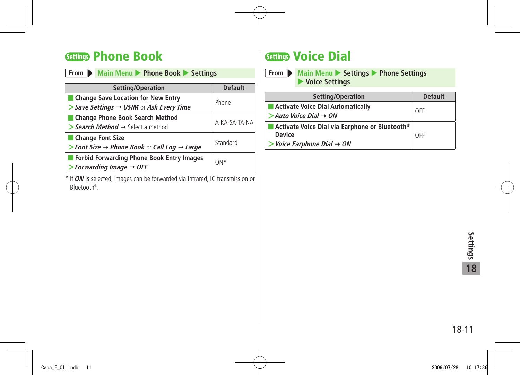## <span id="page-10-0"></span>**Settings Phone Book**

| Main Menu > Phone Book > Settings<br>From D                                                               |                |  |
|-----------------------------------------------------------------------------------------------------------|----------------|--|
| Setting/Operation                                                                                         | <b>Default</b> |  |
| Change Save Location for New Entry<br>$\triangleright$ Save Settings $\rightarrow$ USIM or Ask Every Time | Phone          |  |
| Change Phone Book Search Method<br>> Search Method $\rightarrow$ Select a method                          | A-KA-SA-TA-NA  |  |
| Change Font Size<br>> Font Size $\rightarrow$ Phone Book or Call Log $\rightarrow$ Large                  | Standard       |  |
| Forbid Forwarding Phone Book Entry Images<br>$\triangleright$ Forwarding Image $\rightarrow$ OFF          | $ON*$          |  |

\* If **ON** is selected, images can be forwarded via Infrared, IC transmission or Bluetooth® .

## **Settings Voice Dial**

| From Main Menu > Settings > Phone Settings |
|--------------------------------------------|
| $\blacktriangleright$ Voice Settings       |

| Setting/Operation                                          | <b>Default</b> |  |
|------------------------------------------------------------|----------------|--|
| Activate Voice Dial Automatically                          | OFF            |  |
| $>$ Auto Voice Dial $\rightarrow$ ON                       |                |  |
| Activate Voice Dial via Earphone or Bluetooth <sup>®</sup> |                |  |
| <b>Device</b>                                              | OFF            |  |
| $>$ Voice Earphone Dial $\rightarrow$ ON                   |                |  |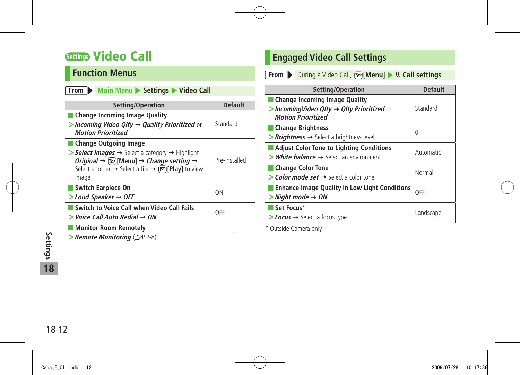## <span id="page-11-0"></span>**Settings Video Call**

### **Function Menus**

#### **From Main Menu**  $\triangleright$  **Settings**  $\triangleright$  **Video Call**

| Setting/Operation                                                                                                                                                                                                                                                                                                            | <b>Default</b> |
|------------------------------------------------------------------------------------------------------------------------------------------------------------------------------------------------------------------------------------------------------------------------------------------------------------------------------|----------------|
| Change Incoming Image Quality<br>> Incoming Video Qlty $\rightarrow$ Quality Prioritized or<br><b>Motion Prioritized</b>                                                                                                                                                                                                     | Standard       |
| Change Outgoing Image<br>$\triangleright$ Select Images $\rightarrow$ Select a category $\rightarrow$ Highlight<br><i>Original</i> $\rightarrow \boxed{\Sigma}$ [Menu] $\rightarrow$ <i>Change setting</i> $\rightarrow$<br>Select a folder $\rightarrow$ Select a file $\rightarrow \boxed{\infty}$ [Play] to view<br>image | Pre-installed  |
| <b>Switch Earpiece On</b><br>$>$ Loud Speaker $\rightarrow$ OFF                                                                                                                                                                                                                                                              | ΩN             |
| Switch to Voice Call when Video Call Fails<br>$>$ Voice Call Auto Redial $\rightarrow$ ON                                                                                                                                                                                                                                    | OFF            |
| Monitor Room Remotely<br>> Remote Monitoring (GP.2-8)                                                                                                                                                                                                                                                                        |                |

### **Engaged Video Call Settings**

**From** During a Video Call, **[x]** [Menu] V. Call settings

| Setting/Operation                                                                                                     | <b>Default</b> |
|-----------------------------------------------------------------------------------------------------------------------|----------------|
| Change Incoming Image Quality<br>> Incoming Video Qlty $\rightarrow$ Qlty Prioritized or<br><b>Motion Prioritized</b> | Standard       |
| <b>Change Brightness</b><br>$\triangleright$ <b>Brightness</b> $\rightarrow$ Select a brightness level                | 0              |
| <b>Adjust Color Tone to Lighting Conditions</b><br>$>$ White balance $\rightarrow$ Select an environment              | Automatic      |
| <b>Change Color Tone</b><br>$\geq$ Color mode set $\rightarrow$ Select a color tone                                   | Normal         |
| <b>Enhance Image Quality in Low Light Conditions</b><br>$>$ Night mode $\rightarrow$ ON                               | OFF            |
| Set Focus*<br>$\triangleright$ Focus $\rightarrow$ Select a focus type                                                | Landscape      |

\* Outside Camera only

18-12 **Settings 18**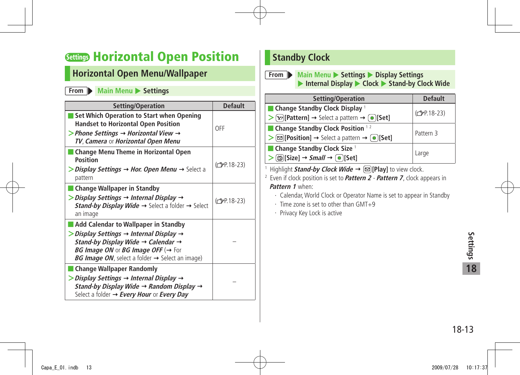## <span id="page-12-0"></span>**Settings Horizontal Open Position**

### **Horizontal Open Menu/Wallpaper**

**From Main Menu > Settings** 

| Setting/Operation                                                                                                                                                                                                                                                                                                               | <b>Default</b>           |
|---------------------------------------------------------------------------------------------------------------------------------------------------------------------------------------------------------------------------------------------------------------------------------------------------------------------------------|--------------------------|
| Set Which Operation to Start when Opening<br><b>Handset to Horizontal Open Position</b><br>> Phone Settings $\rightarrow$ Horizontal View $\rightarrow$<br>TV, Camera or Horizontal Open Menu                                                                                                                                   | OFF                      |
| Change Menu Theme in Horizontal Open<br>Position<br>$\triangleright$ Display Settings $\rightarrow$ Hor. Open Menu $\rightarrow$ Select a<br>pattern                                                                                                                                                                            | (C <sub>J</sub> P.18-23) |
| <b>Change Wallpaper in Standby</b><br>$\triangleright$ Display Settings $\rightarrow$ Internal Display $\rightarrow$<br><b>Stand-by Display Wide <math>\rightarrow</math> Select a folder <math>\rightarrow</math> Select</b><br>an image                                                                                       | $(\mathcal{F}$ P.18-23)  |
| Add Calendar to Wallpaper in Standby<br>$\triangleright$ Display Settings $\rightarrow$ Internal Display $\rightarrow$<br>Stand-by Display Wide $\rightarrow$ Calendar $\rightarrow$<br><b>BG Image ON or BG Image OFF (<math>\rightarrow</math> For</b><br><b>BG Image ON</b> , select a folder $\rightarrow$ Select an image) |                          |
| <b>Change Wallpaper Randomly</b><br>$\triangleright$ Display Settings $\rightarrow$ Internal Display $\rightarrow$<br>Stand-by Display Wide $\rightarrow$ Random Display $\rightarrow$<br>Select a folder $\rightarrow$ Every Hour or Every Day                                                                                 |                          |

### **Standby Clock**

**From Main Menu** > Settings > Display Settings ▶ Internal Display ▶ Clock ▶ Stand-by Clock Wide

| Setting/Operation                                                                                                                   | <b>Default</b>           |  |
|-------------------------------------------------------------------------------------------------------------------------------------|--------------------------|--|
| $\blacksquare$ Change Standby Clock Display $\perp$                                                                                 | (C <sub>T</sub> P.18-23) |  |
| $\triangleright$ [ <b>Y</b> ] [Pattern] $\rightarrow$ Select a pattern $\rightarrow$ [ $\bullet$ ] [Set]                            |                          |  |
| ■ Change Standby Clock Position $12$                                                                                                | Pattern 3                |  |
| $\triangleright$ $\lbrack\mathfrak{D}\rbrack$ [Position] $\rightarrow$ Select a pattern $\rightarrow$ $\lbrack\bullet\rbrack$ [Set] |                          |  |
| $\blacksquare$ Change Standby Clock Size $\blacksquare$                                                                             |                          |  |
| $\geq$ ( $\text{m}$ )[Size] $\rightarrow$ <i>Small</i> $\rightarrow$ ( $\text{o}$ )[Set]                                            | Large                    |  |

1 Highlight **Stand-by Clock Wide** → **[20][Play]** to view clock.

2 Even if clock position is set to **Pattern 2** - **Pattern 7**, clock appears in **Pattern 1** when:

- ・ Calendar, World Clock or Operator Name is set to appear in Standby
- ・ Time zone is set to other than GMT+9

・ Privacy Key Lock is active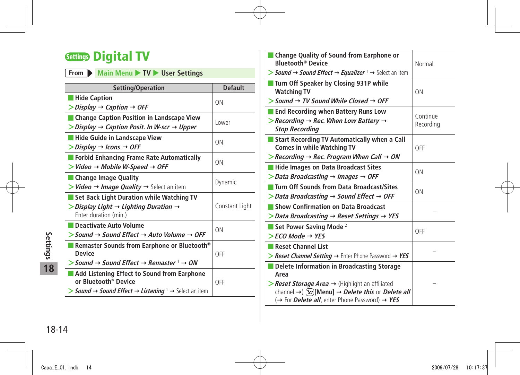## <span id="page-13-0"></span>**Settings Digital TV**

| From Main Menu TV V User Settings |  |  |  |  |  |
|-----------------------------------|--|--|--|--|--|
|-----------------------------------|--|--|--|--|--|

| Setting/Operation                                                                                     | <b>Default</b> |
|-------------------------------------------------------------------------------------------------------|----------------|
| <b>Hide Caption</b>                                                                                   | ON             |
| $\triangleright$ Display $\rightarrow$ Caption $\rightarrow$ OFF                                      |                |
| <b>Change Caption Position in Landscape View</b>                                                      | Lower          |
| $\triangleright$ Display $\rightarrow$ Caption Posit. In W-scr $\rightarrow$ Upper                    |                |
| <b>Hide Guide in Landscape View</b>                                                                   | ON             |
| $\triangleright$ Display $\rightarrow$ Icons $\rightarrow$ OFF                                        |                |
| <b>Forbid Enhancing Frame Rate Automatically</b>                                                      | ON             |
| $>$ Video $\rightarrow$ Mobile W-Speed $\rightarrow$ OFF                                              |                |
| <b>Change Image Quality</b>                                                                           |                |
| $>$ <i>Video</i> $\rightarrow$ <i>Image Quality</i> $\rightarrow$ Select an item                      | Dynamic        |
| Set Back Light Duration while Watching TV                                                             |                |
| $\triangleright$ Display Light $\rightarrow$ Lighting Duration $\rightarrow$<br>Enter duration (min.) | Constant Light |
| Deactivate Auto Volume                                                                                |                |
| $>$ Sound $\rightarrow$ Sound Effect $\rightarrow$ Auto Volume $\rightarrow$ OFF                      | ON             |
| Remaster Sounds from Earphone or Bluetooth®<br><b>Device</b>                                          | OFF            |
| $>$ Sound $\rightarrow$ Sound Effect $\rightarrow$ Remaster $\perp \rightarrow ON$                    |                |
| Add Listening Effect to Sound from Earphone<br>or Bluetooth® Device                                   | OFF            |
| > Sound $\rightarrow$ Sound Effect $\rightarrow$ Listening $\rightarrow$ Select an item               |                |

| <b>Change Quality of Sound from Earphone or</b><br><b>Bluetooth<sup>®</sup> Device</b><br>> Sound $\rightarrow$ Sound Effect $\rightarrow$ Equalizer $\rightarrow$ Select an item                                                                                                                       | Normal                |
|---------------------------------------------------------------------------------------------------------------------------------------------------------------------------------------------------------------------------------------------------------------------------------------------------------|-----------------------|
| Turn Off Speaker by Closing 931P while<br><b>Watching TV</b><br>$>$ Sound $\rightarrow$ TV Sound While Closed $\rightarrow$ OFF                                                                                                                                                                         | 0 <sub>N</sub>        |
| <b>End Recording when Battery Runs Low</b><br>$>$ Recording $\rightarrow$ Rec. When Low Battery $\rightarrow$<br><b>Stop Recording</b>                                                                                                                                                                  | Continue<br>Recording |
| Start Recording TV Automatically when a Call<br><b>Comes in while Watching TV</b><br>$>$ Recording $\rightarrow$ Rec. Program When Call $\rightarrow$ ON                                                                                                                                                | OFF                   |
| Hide Images on Data Broadcast Sites<br>$\triangleright$ Data Broadcasting $\rightarrow$ Images $\rightarrow$ OFF                                                                                                                                                                                        | ON                    |
| Turn Off Sounds from Data Broadcast/Sites<br>$\triangleright$ Data Broadcasting $\rightarrow$ Sound Effect $\rightarrow$ OFF                                                                                                                                                                            | ON                    |
| Show Confirmation on Data Broadcast<br>$\triangleright$ Data Broadcasting $\rightarrow$ Reset Settings $\rightarrow$ YES                                                                                                                                                                                |                       |
| Set Power Saving Mode $2$<br>$>$ FCO Mode $\rightarrow$ YES                                                                                                                                                                                                                                             | OFF                   |
| Reset Channel List<br>> Reset Channel Setting $\rightarrow$ Enter Phone Password $\rightarrow$ YES                                                                                                                                                                                                      |                       |
| Delete Information in Broadcasting Storage<br>Area<br>$\triangleright$ <b>Reset Storage Area <math>\rightarrow</math></b> (Highlight an affiliated<br>channel $\rightarrow$ [Yze][Menu] $\rightarrow$ <i>Delete this</i> or <i>Delete all</i><br>(→ For <i>Delete all</i> , enter Phone Password) → YES |                       |

**18**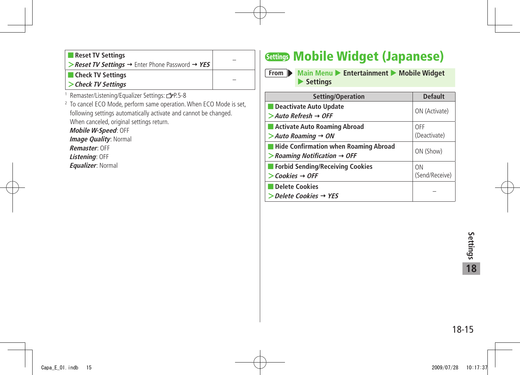<span id="page-14-0"></span>

| <b>Neset TV Settings</b>                                                                            |  |
|-----------------------------------------------------------------------------------------------------|--|
| <b>Sessi TV Settings <math>\rightarrow</math> Enter Phone Password <math>\rightarrow</math> YES</b> |  |
| <b>T</b> Check TV Settings                                                                          |  |
| $\vert$ > Check TV Settings                                                                         |  |

1 Remaster/Listening/Equalizer Settings: P.5-8

2 To cancel ECO Mode, perform same operation. When ECO Mode is set, following settings automatically activate and cannot be changed. When canceled, original settings return.

**Mobile W-Speed**: OFF **Image Quality: Normal Remaster**: OFF

**Listening**: OFF

**Equalizer**: Normal

## **Settings Mobile Widget (Japanese)**

**From Main Menu > Entertainment > Mobile Widget Settings** 

| Setting/Operation                                                                                       | <b>Default</b>                   |
|---------------------------------------------------------------------------------------------------------|----------------------------------|
| Deactivate Auto Update<br>$>$ Auto Refresh $\rightarrow$ OFF                                            | ON (Activate)                    |
| Activate Auto Roaming Abroad<br>$>$ Auto Roaming $\rightarrow$ ON                                       | OFF<br>(Deactivate)              |
| <b>Hide Confirmation when Roaming Abroad</b><br>$\triangleright$ Roaming Notification $\rightarrow$ OFF | ON (Show)                        |
| Forbid Sending/Receiving Cookies<br>$\gt$ Cookies $\rightarrow$ OFF                                     | 0 <sub>N</sub><br>(Send/Receive) |
| Delete Cookies<br>$\triangleright$ Delete Cookies $\rightarrow$ YES                                     |                                  |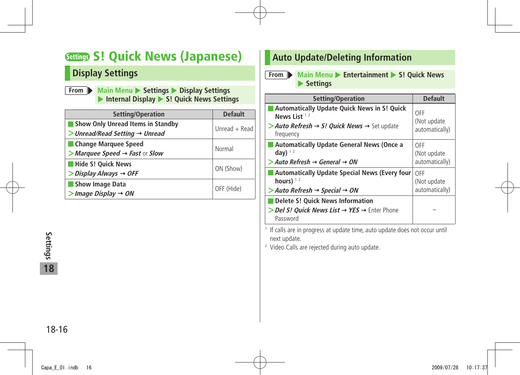## <span id="page-15-0"></span>**Settings S! Quick News (Japanese)**

### **Display Settings**

**From Main Menu** > Settings > Display Settings **Internal Display • S! Quick News Settings** 

| Setting/Operation                                 | <b>Default</b>  |
|---------------------------------------------------|-----------------|
| <b>Show Only Unread Items in Standby</b>          | Unread $+$ Read |
| $>$ Unread/Read Setting $\rightarrow$ Unread      |                 |
| Change Marquee Speed                              | Normal          |
| > Marquee Speed $\rightarrow$ Fast or Slow        |                 |
| Hide S! Quick News                                |                 |
| $\triangleright$ Display Always $\rightarrow$ OFF | ON (Show)       |
| <b>Show Image Data</b>                            | OFF (Hide)      |
| $>$ Image Display $\rightarrow$ ON                |                 |

### **Auto Update/Deleting Information**

**From Main Menu Entertainment • S! Quick News Settings** 

| Setting/Operation                                                                                                                                        | <b>Default</b>                        |
|----------------------------------------------------------------------------------------------------------------------------------------------------------|---------------------------------------|
| <b>Automatically Update Quick News in S! Quick</b><br>News List $12$<br>> Auto Refresh $\rightarrow$ S! Quick News $\rightarrow$ Set update<br>frequency | OFF<br>(Not update)<br>automatically) |
| <b>Automatically Update General News (Once a</b><br>day) $12$<br>$>$ Auto Refresh $\rightarrow$ General $\rightarrow$ ON                                 | OFF<br>(Not update)<br>automatically) |
| <b>Automatically Update Special News (Every four)</b><br>hours) $12$<br>$>$ Auto Refresh $\rightarrow$ Special $\rightarrow$ ON                          | OFF<br>(Not update<br>automatically)  |
| <b>Delete S! Quick News Information</b><br>> Del S! Ouick News List → YES → Enter Phone<br>Password                                                      |                                       |

1 If calls are in progress at update time, auto update does not occur until next update.

2 Video Calls are rejected during auto update.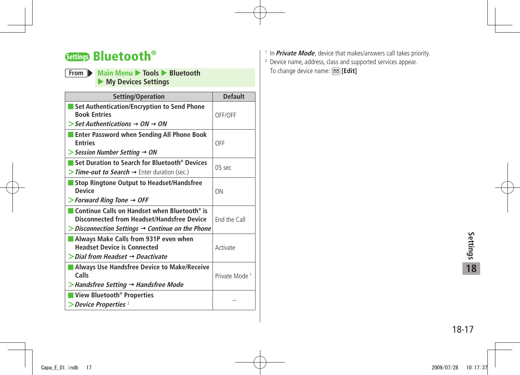## <span id="page-16-0"></span>**Settings Bluetooth®**

#### **From Main Menu X** Tools **X** Bluetooth **My Devices Settings**

| Setting/Operation                                                                                                                                                           | <b>Default</b>            |
|-----------------------------------------------------------------------------------------------------------------------------------------------------------------------------|---------------------------|
| Set Authentication/Encryption to Send Phone<br><b>Book Entries</b><br>$\triangleright$ Set Authentications $\rightarrow$ ON $\rightarrow$ ON                                | OFF/OFF                   |
| <b>Enter Password when Sending All Phone Book</b><br><b>Entries</b><br>$>$ Session Number Setting $\rightarrow$ ON                                                          | OFF                       |
| Set Duration to Search for Bluetooth® Devices<br>> Time-out to Search → Enter duration (sec.)                                                                               | $05$ sec                  |
| <b>Stop Ringtone Output to Headset/Handsfree</b><br><b>Device</b><br>$>$ Forward Ring Tone $\rightarrow$ OFF                                                                | ON                        |
| Continue Calls on Handset when Bluetooth <sup>®</sup> is<br><b>Disconnected from Headset/Handsfree Device</b><br>Disconnection Settings $\rightarrow$ Continue on the Phone | End the Call              |
| Always Make Calls from 931P even when<br><b>Headset Device is Connected</b><br>$\gt$ Dial from Headset $\rightarrow$ Deactivate                                             | Activate                  |
| Always Use Handsfree Device to Make/Receive<br>Calls<br>$>$ Handsfree Setting $\rightarrow$ Handsfree Mode                                                                  | Private Mode <sup>1</sup> |
| View Bluetooth <sup>®</sup> Properties<br>$\blacktriangleright$ Device Properties $^2$                                                                                      |                           |

- 1 In **Private Mode**, device that makes/answers call takes priority.
- 2 Device name, address, class and supported services appear. To change device name: **[Edit]**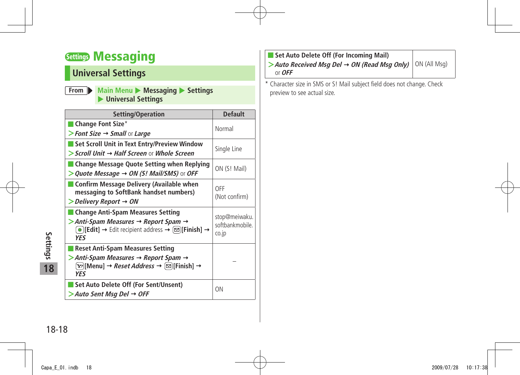## <span id="page-17-0"></span>**Settings Messaging**

## **Universal Settings**

| From Main Menu Messaging Settings |
|-----------------------------------|
| ▶ Universal Settings              |

| Setting/Operation                                                                                                                                                                               | <b>Default</b>                            |
|-------------------------------------------------------------------------------------------------------------------------------------------------------------------------------------------------|-------------------------------------------|
| Change Font Size*<br>> Font Size $\rightarrow$ Small or Large                                                                                                                                   | Normal                                    |
| Set Scroll Unit in Text Entry/Preview Window<br>> Scroll Unit → Half Screen or Whole Screen                                                                                                     | Single Line                               |
| <b>Change Message Quote Setting when Replying</b><br>$>$ Quote Message $\rightarrow$ ON (S! Mail/SMS) or OFF                                                                                    | ON (S! Mail)                              |
| <b>Confirm Message Delivery (Available when</b><br>messaging to SoftBank handset numbers)<br>> Delivery Report → ON                                                                             | OFF<br>(Not confirm)                      |
| <b>Change Anti-Spam Measures Setting</b><br>> Anti-Spam Measures → Report Spam →<br>$\bigcirc$ [Edit] $\rightarrow$ Edit recipient address $\rightarrow \bigcirc$ [Finish] $\rightarrow$<br>YFS | stop@meiwaku.<br>softbankmobile.<br>co.jp |
| <b>Reset Anti-Spam Measures Setting</b><br>> Anti-Spam Measures → Report Spam →<br>(Y)[Menu] → <i>Reset Address</i> → (⊠)[Finish] →<br>YES                                                      |                                           |
| Set Auto Delete Off (For Sent/Unsent)<br>$>$ Auto Sent Msq Del $\rightarrow$ OFF                                                                                                                | ON                                        |

| Set Auto Delete Off (For Incoming Mail)                                       |  |
|-------------------------------------------------------------------------------|--|
| > Auto Received Msg Del $\rightarrow$ ON (Read Msg Only) $ \circ$ M (All Msg) |  |
| or $OFF$                                                                      |  |

\* Character size in SMS or S! Mail subject field does not change. Check preview to see actual size.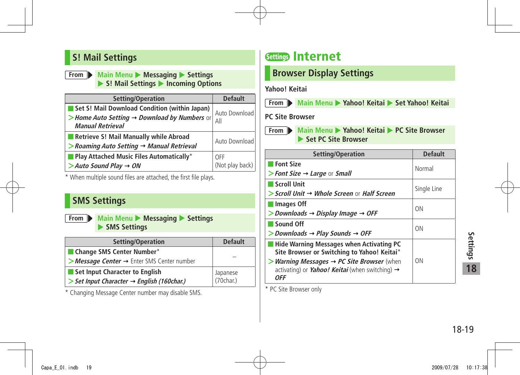### <span id="page-18-0"></span>**S! Mail Settings**

#### **From Main Menu**  $\triangleright$  **Messaging**  $\triangleright$  **Settings** ▶ S! Mail Settings ▶ Incoming Options

| Setting/Operation                                                       | <b>Default</b>  |
|-------------------------------------------------------------------------|-----------------|
| Set S! Mail Download Condition (within Japan)                           | Auto Download   |
| > Home Auto Setting > Download by Numbers or<br><b>Manual Retrieval</b> | All             |
| Retrieve S! Mail Manually while Abroad                                  | Auto Download   |
| $\triangleright$ Roaming Auto Setting $\rightarrow$ Manual Retrieval    |                 |
| $\blacksquare$ Play Attached Music Files Automatically*                 | OFF             |
| $>$ Auto Sound Play $\rightarrow$ ON                                    | (Not play back) |

\* When multiple sound files are attached, the first file plays.

### **SMS Settings**

**From Main Menu > Messaging > Settings SMS Settings** 

| Setting/Operation                                          | <b>Default</b>        |
|------------------------------------------------------------|-----------------------|
| Change SMS Center Number*                                  |                       |
| > Message Center → Enter SMS Center number                 |                       |
| Set Input Character to English                             |                       |
| $\ge$ Set Input Character $\rightarrow$ English (160char.) | Japanese<br>(70char.) |

\* Changing Message Center number may disable SMS.

## **Settings Internet**

### **Browser Display Settings**

#### **Yahoo! Keitai**



**From Main Menu** > Yahoo! Keitai > Set Yahoo! Keitai

#### **PC Site Browser**

**From Main Menu** Yahoo! Keitai **PC Site Browser Set PC Site Browser** 

| Setting/Operation                                                                                                                   | <b>Default</b> |
|-------------------------------------------------------------------------------------------------------------------------------------|----------------|
| <b>Font Size</b><br>> Font Size $\rightarrow$ Large or Small                                                                        | Normal         |
|                                                                                                                                     |                |
| Scroll Unit                                                                                                                         | Single Line    |
| $\triangleright$ Scroll Unit $\rightarrow$ Whole Screen or Half Screen                                                              |                |
| Images Off                                                                                                                          | <b>ON</b>      |
| $>$ Downloads $\rightarrow$ Display Image $\rightarrow$ OFF                                                                         |                |
| Sound Off                                                                                                                           | <b>ON</b>      |
| $>$ Downloads $\rightarrow$ Play Sounds $\rightarrow$ OFF                                                                           |                |
| <b>Hide Warning Messages when Activating PC</b><br>Site Browser or Switching to Yahoo! Keitai*                                      |                |
| > Warning Messages $\rightarrow$ PC Site Browser (when<br>activating) or <i>Yahoo! Keitai</i> (when switching) $\rightarrow$<br>0FF | <b>ON</b>      |

\* PC Site Browser only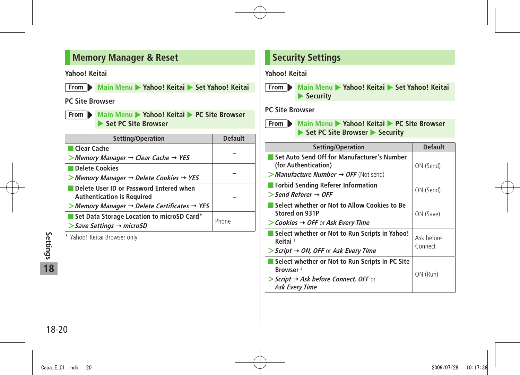### <span id="page-19-0"></span>**Memory Manager & Reset**

**Yahoo! Keitai**

**From** Main Menu > Yahoo! Keitai > Set Yahoo! Keitai

#### **PC Site Browser**

**From Main Menu > Yahoo! Keitai > PC Site Browser ▶ Set PC Site Browser** 

| Setting/Operation                                                                     | <b>Default</b> |
|---------------------------------------------------------------------------------------|----------------|
| Clear Cache                                                                           |                |
| $>$ Memory Manager $\rightarrow$ Clear Cache $\rightarrow$ YES                        |                |
| <b>Delete Cookies</b>                                                                 |                |
| $>$ Memory Manager $\rightarrow$ Delete Cookies $\rightarrow$ YES                     |                |
| Delete User ID or Password Entered when<br><b>Authentication is Required</b>          |                |
| $>$ Memory Manager $\rightarrow$ Delete Certificates $\rightarrow$ YES                |                |
| Set Data Storage Location to microSD Card*<br>$>$ Save Settings $\rightarrow$ microSD | Phone          |
|                                                                                       |                |

\* Yahoo! Keitai Browser only

### **Security Settings**

#### **Yahoo! Keitai**

**From Main Menu > Yahoo! Keitai > Set Yahoo! Keitai <a> Security** 

#### **PC Site Browser**



**From Main Menu > Yahoo! Keitai > PC Site Browser** ▶ Set PC Site Browser ▶ Security

| Setting/Operation                                                                                                                                     | <b>Default</b>        |
|-------------------------------------------------------------------------------------------------------------------------------------------------------|-----------------------|
| Set Auto Send Off for Manufacturer's Number<br>(for Authentication)<br>> Manufacture Number $\rightarrow$ OFF (Not send)                              | ON (Send)             |
| Forbid Sending Referer Information<br>$\triangleright$ Send Referer $\rightarrow$ OFF                                                                 | ON (Send)             |
| Select whether or Not to Allow Cookies to Be<br>Stored on 931P<br>$\triangleright$ Cookies $\rightarrow$ OFF or Ask Every Time                        | ON (Save)             |
| Select whether or Not to Run Scripts in Yahoo!<br>Keitai <sup>1</sup><br>$\triangleright$ Script $\rightarrow$ ON, OFF or Ask Every Time              | Ask hefore<br>Connect |
| Select whether or Not to Run Scripts in PC Site<br>Browser <sup>2</sup><br>> Script $\rightarrow$ Ask before Connect, OFF or<br><b>Ask Every Time</b> | ON (Run)              |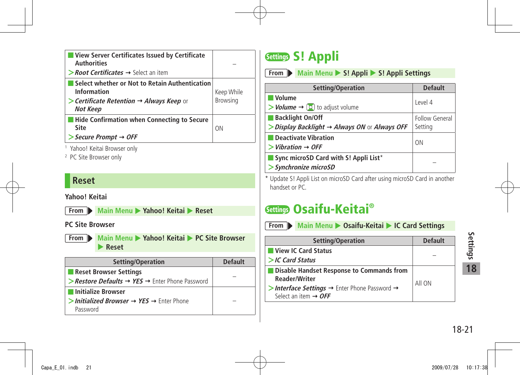<span id="page-20-0"></span>

| View Server Certificates Issued by Certificate<br><b>Authorities</b>                                                                                    |                               |
|---------------------------------------------------------------------------------------------------------------------------------------------------------|-------------------------------|
| $\triangleright$ <b>Root Certificates <math>\rightarrow</math></b> Select an item                                                                       |                               |
| Select whether or Not to Retain Authentication<br>Information<br>$\triangleright$ Certificate Retention $\rightarrow$ Always Keep or<br><b>Not Keep</b> | Keep While<br><b>Browsing</b> |
| <b>Hide Confirmation when Connecting to Secure</b><br>Site<br>> Secure Prompt → OFF                                                                     | ON                            |
| <sup>1</sup> Yahoo! Keitai Browser only                                                                                                                 |                               |

2 PC Site Browser only

### **Reset**

**Yahoo! Keitai**

**From Main Menu Xahoo! Keitai Reset** 

#### **PC Site Browser**



| Setting/Operation                                                                            | <b>Default</b> |
|----------------------------------------------------------------------------------------------|----------------|
| <b>Reset Browser Settings</b>                                                                |                |
| > Restore Defaults $\rightarrow$ YES $\rightarrow$ Enter Phone Password                      |                |
| Initialize Browser                                                                           |                |
| $\triangleright$ Initialized Browser $\rightarrow$ YES $\rightarrow$ Enter Phone<br>Password |                |

## **Settings S! Appli**

**From Main Menu** > S! Appli > S! Appli Settings

| Setting/Operation                                                                            | <b>Default</b>            |
|----------------------------------------------------------------------------------------------|---------------------------|
| ■ Volume<br>$\rightarrow$ <i>Volume</i> $\rightarrow$ [0] to adjust volume                   | Level 4                   |
| Backlight On/Off<br>$\triangleright$ Display Backlight $\rightarrow$ Always ON or Always OFF | Follow General<br>Setting |
| Deactivate Vibration<br>$>$ Vibration $\rightarrow$ OFF                                      | ON                        |
| Sync microSD Card with S! Appli List*<br>> Synchronize microSD                               |                           |

\* Update S! Appli List on microSD Card after using microSD Card in another handset or PC.

## **Settings Osaifu-Keitai®**

**From Main Menu > Osaifu-Keitai > IC Card Settings Setting/Operation Default** ■ **View IC Card Status <sup>&</sup>gt;IC Card Status** – ■ **Disable Handset Response to Commands from Reader/Writer** >Interface Settings → Enter Phone Password → Select an item  $\rightarrow$  OFF All ON

ed<br>Brattings<br>18-21<br>18-21 **18**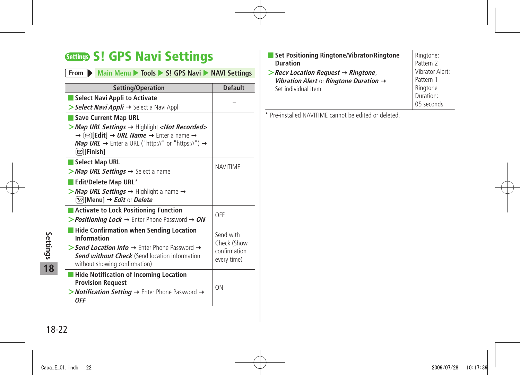## <span id="page-21-0"></span>**Settings S! GPS Navi Settings**

### **From** Main Menu > Tools > S! GPS Navi > NAVI Settings

| Setting/Operation                                                                                                                                                                                                                                                                                                                                                            | <b>Default</b>                                          |  |
|------------------------------------------------------------------------------------------------------------------------------------------------------------------------------------------------------------------------------------------------------------------------------------------------------------------------------------------------------------------------------|---------------------------------------------------------|--|
| Select Navi Appli to Activate                                                                                                                                                                                                                                                                                                                                                |                                                         |  |
| > Select Navi Appli → Select a Navi Appli                                                                                                                                                                                                                                                                                                                                    |                                                         |  |
| Save Current Map URL                                                                                                                                                                                                                                                                                                                                                         |                                                         |  |
| > Map URL Settings → Highlight <not recorded=""><br/><math>\rightarrow</math> (<math>\boxdot</math>)[Edit] <math>\rightarrow</math> <i>URL Name</i> <math>\rightarrow</math> Enter a name <math>\rightarrow</math><br/><b>Map URL</b> <math>\rightarrow</math> Enter a URL ("http://" or "https://") <math>\rightarrow</math><br/><math>\textcircled{ }</math>[Finish]</not> |                                                         |  |
| Select Map URL                                                                                                                                                                                                                                                                                                                                                               | <b>NAVITIME</b>                                         |  |
| > Map URL Settings → Select a name                                                                                                                                                                                                                                                                                                                                           |                                                         |  |
| Edit/Delete Map URL*                                                                                                                                                                                                                                                                                                                                                         |                                                         |  |
| > Map URL Settings $\rightarrow$ Highlight a name $\rightarrow$<br>$\lceil \mathbf{x} \rceil$ [Menu] $\rightarrow$ <i>Edit</i> or <i>Delete</i>                                                                                                                                                                                                                              |                                                         |  |
| <b>Activate to Lock Positioning Function</b>                                                                                                                                                                                                                                                                                                                                 |                                                         |  |
| > <b>Positioning Lock</b> $\rightarrow$ Enter Phone Password $\rightarrow$ <b>ON</b>                                                                                                                                                                                                                                                                                         | OFF                                                     |  |
| Hide Confirmation when Sending Location<br><b>Information</b><br>> Send Location Info $\rightarrow$ Enter Phone Password $\rightarrow$<br><b>Send without Check</b> (Send location information<br>without showing confirmation)                                                                                                                                              | Send with<br>Check (Show<br>confirmation<br>every time) |  |
| <b>Hide Notification of Incoming Location</b><br><b>Provision Request</b><br>> <i>Notification Setting</i> $\rightarrow$ Enter Phone Password $\rightarrow$<br><b>OFF</b>                                                                                                                                                                                                    | ON                                                      |  |

| Set Positioning Ringtone/Vibrator/Ringtone                     | Ringtone:       |
|----------------------------------------------------------------|-----------------|
| <b>Duration</b>                                                | Pattern 2       |
| $\triangleright$ Recv Location Request $\rightarrow$ Ringtone, | Vibrator Alert: |
| Vibration Alert or Ringtone Duration $\rightarrow$             | Pattern 1       |
| Set individual item                                            | Ringtone        |
|                                                                | Duration:       |
|                                                                | 05 seconds      |
|                                                                |                 |

\* Pre-installed NAVITIME cannot be edited or deleted.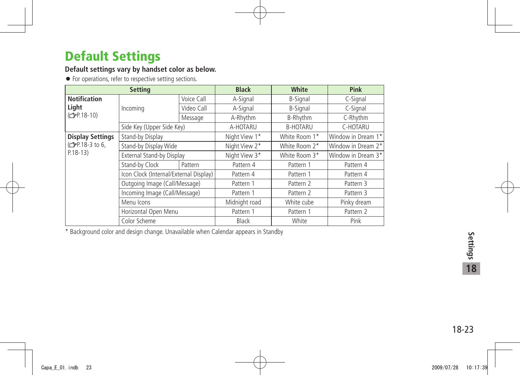## <span id="page-22-0"></span>**Default Settings**

#### **Default settings vary by handset color as below.**

● For operations, refer to respective setting sections.

| <b>Setting</b>               |                                                                         |              | <b>Black</b>  | White           | Pink               |
|------------------------------|-------------------------------------------------------------------------|--------------|---------------|-----------------|--------------------|
| <b>Notification</b><br>Light | Incoming                                                                | Voice Call   | A-Signal      | <b>B-Signal</b> | C-Signal           |
|                              |                                                                         | Video Call   | A-Signal      | <b>B-Signal</b> | C-Signal           |
| (C <sub>FP</sub> .18-10)     |                                                                         | Message      | A-Rhythm      | B-Rhythm        | C-Rhythm           |
|                              | Side Key (Upper Side Key)                                               |              | A-HOTARU      | <b>B-HOTARU</b> | C-HOTARU           |
| <b>Display Settings</b>      | Stand-by Display                                                        |              | Night View 1* | White Room 1*   | Window in Dream 1* |
| (子P.18-3 to 6,               | Stand-by Display Wide                                                   |              | Night View 2* | White Room 2*   | Window in Dream 2* |
| $P.18-13)$                   | External Stand-by Display                                               |              | Night View 3* | White Room 3*   | Window in Dream 3* |
|                              | Stand-by Clock                                                          | Pattern      | Pattern 4     | Pattern 1       | Pattern 4          |
|                              | Icon Clock (Internal/External Display)<br>Outgoing Image (Call/Message) |              | Pattern 4     | Pattern 1       | Pattern 4          |
|                              |                                                                         |              | Pattern 1     | Pattern 2       | Pattern 3          |
|                              | Incoming Image (Call/Message)                                           |              | Pattern 1     | Pattern 2       | Pattern 3          |
|                              | Menu Icons                                                              |              | Midnight road | White cube      | Pinky dream        |
|                              | Horizontal Open Menu                                                    |              | Pattern 1     | Pattern 1       | Pattern 2          |
| Color Scheme                 |                                                                         | <b>Black</b> | White         | Pink            |                    |

\* Background color and design change. Unavailable when Calendar appears in Standby